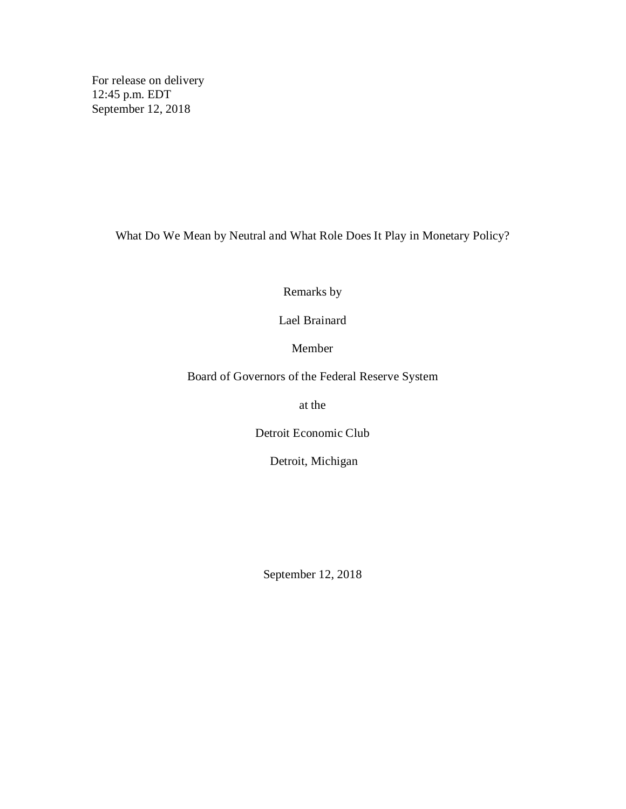For release on delivery 12:45 p.m. EDT September 12, 2018

What Do We Mean by Neutral and What Role Does It Play in Monetary Policy?

Remarks by

Lael Brainard

Member

Board of Governors of the Federal Reserve System

at the

Detroit Economic Club

Detroit, Michigan

September 12, 2018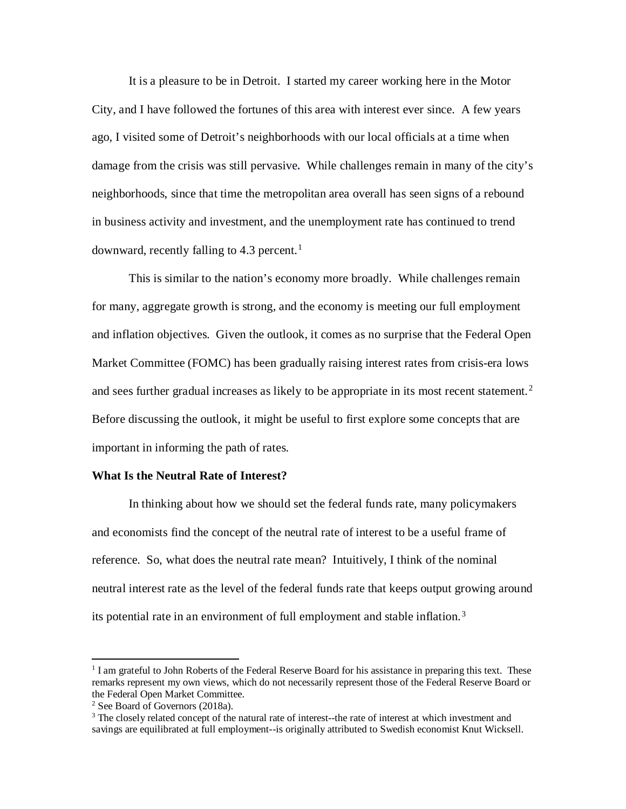It is a pleasure to be in Detroit. I started my career working here in the Motor City, and I have followed the fortunes of this area with interest ever since. A few years ago, I visited some of Detroit's neighborhoods with our local officials at a time when damage from the crisis was still pervasive**.** While challenges remain in many of the city's neighborhoods, since that time the metropolitan area overall has seen signs of a rebound in business activity and investment, and the unemployment rate has continued to trend downward, recently falling to 4.3 percent. [1](#page-1-0)

This is similar to the nation's economy more broadly. While challenges remain for many, aggregate growth is strong, and the economy is meeting our full employment and inflation objectives. Given the outlook, it comes as no surprise that the Federal Open Market Committee (FOMC) has been gradually raising interest rates from crisis-era lows and sees further gradual increases as likely to be appropriate in its most recent statement.<sup>[2](#page-1-1)</sup> Before discussing the outlook, it might be useful to first explore some concepts that are important in informing the path of rates.

# **What Is the Neutral Rate of Interest?**

In thinking about how we should set the federal funds rate, many policymakers and economists find the concept of the neutral rate of interest to be a useful frame of reference. So, what does the neutral rate mean? Intuitively, I think of the nominal neutral interest rate as the level of the federal funds rate that keeps output growing around its potential rate in an environment of full employment and stable inflation. [3](#page-1-2)

<span id="page-1-0"></span><sup>&</sup>lt;sup>1</sup> I am grateful to John Roberts of the Federal Reserve Board for his assistance in preparing this text. These remarks represent my own views, which do not necessarily represent those of the Federal Reserve Board or the Federal Open Market Committee.

<span id="page-1-1"></span><sup>&</sup>lt;sup>2</sup> See Board of Governors (2018a).

<span id="page-1-2"></span><sup>&</sup>lt;sup>3</sup> The closely related concept of the natural rate of interest--the rate of interest at which investment and savings are equilibrated at full employment--is originally attributed to Swedish economist Knut Wicksell.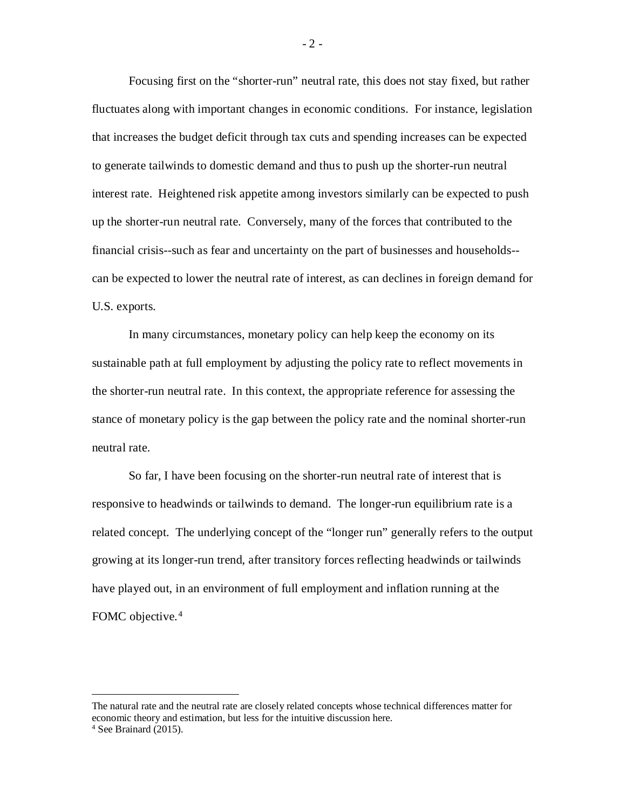Focusing first on the "shorter-run" neutral rate, this does not stay fixed, but rather fluctuates along with important changes in economic conditions. For instance, legislation that increases the budget deficit through tax cuts and spending increases can be expected to generate tailwinds to domestic demand and thus to push up the shorter-run neutral interest rate. Heightened risk appetite among investors similarly can be expected to push up the shorter-run neutral rate. Conversely, many of the forces that contributed to the financial crisis--such as fear and uncertainty on the part of businesses and households- can be expected to lower the neutral rate of interest, as can declines in foreign demand for U.S. exports.

In many circumstances, monetary policy can help keep the economy on its sustainable path at full employment by adjusting the policy rate to reflect movements in the shorter-run neutral rate. In this context, the appropriate reference for assessing the stance of monetary policy is the gap between the policy rate and the nominal shorter-run neutral rate.

So far, I have been focusing on the shorter-run neutral rate of interest that is responsive to headwinds or tailwinds to demand. The longer-run equilibrium rate is a related concept. The underlying concept of the "longer run" generally refers to the output growing at its longer-run trend, after transitory forces reflecting headwinds or tailwinds have played out, in an environment of full employment and inflation running at the FOMC objective.<sup>4</sup>

 $\ddot{\phantom{a}}$ 

 $-2-$ 

<span id="page-2-0"></span>The natural rate and the neutral rate are closely related concepts whose technical differences matter for economic theory and estimation, but less for the intuitive discussion here. <sup>4</sup> See Brainard (2015).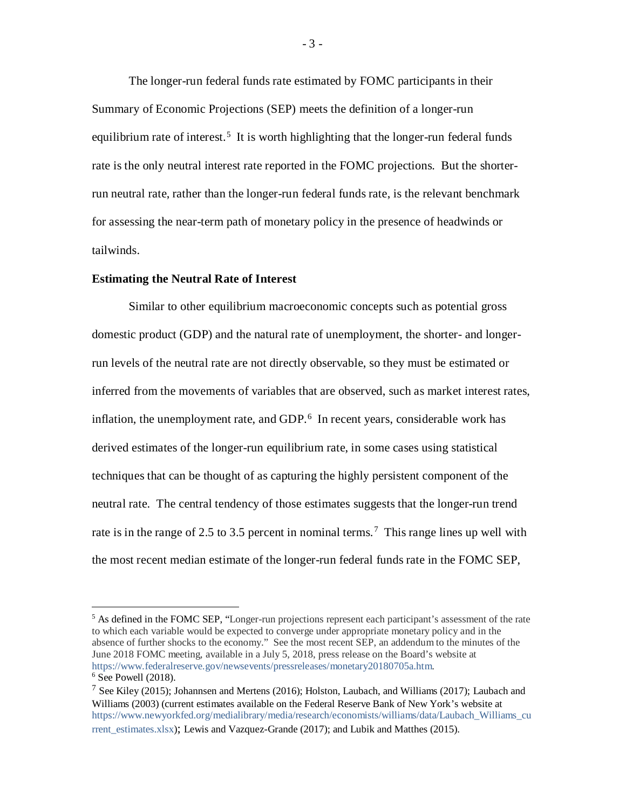The longer-run federal funds rate estimated by FOMC participants in their Summary of Economic Projections (SEP) meets the definition of a longer-run equilibrium rate of interest.<sup>[5](#page-3-0)</sup> It is worth highlighting that the longer-run federal funds rate is the only neutral interest rate reported in the FOMC projections. But the shorterrun neutral rate, rather than the longer-run federal funds rate, is the relevant benchmark for assessing the near-term path of monetary policy in the presence of headwinds or tailwinds.

#### **Estimating the Neutral Rate of Interest**

Similar to other equilibrium macroeconomic concepts such as potential gross domestic product (GDP) and the natural rate of unemployment, the shorter- and longerrun levels of the neutral rate are not directly observable, so they must be estimated or inferred from the movements of variables that are observed, such as market interest rates, inflation, the unemployment rate, and GDP.<sup>[6](#page-3-1)</sup> In recent years, considerable work has derived estimates of the longer-run equilibrium rate, in some cases using statistical techniques that can be thought of as capturing the highly persistent component of the neutral rate. The central tendency of those estimates suggests that the longer-run trend rate is in the range of 2.5 to 3.5 percent in nominal terms.<sup>[7](#page-3-2)</sup> This range lines up well with the most recent median estimate of the longer-run federal funds rate in the FOMC SEP,

<span id="page-3-0"></span><sup>&</sup>lt;sup>5</sup> As defined in the FOMC SEP, "Longer-run projections represent each participant's assessment of the rate to which each variable would be expected to converge under appropriate monetary policy and in the absence of further shocks to the economy." See the most recent SEP, an addendum to the minutes of the June 2018 FOMC meeting, available in a July 5, 2018, press release on the Board's website at [https://www.federalreserve.gov/newsevents/pressreleases/monetary20180705a.htm.](https://www.federalreserve.gov/newsevents/pressreleases/monetary20180705a.htm)  $6$  See Powell (2018).

<span id="page-3-2"></span><span id="page-3-1"></span><sup>7</sup> See Kiley (2015); Johannsen and Mertens (2016); Holston, Laubach, and Williams (2017); Laubach and Williams (2003) (current estimates available on the Federal Reserve Bank of New York's website at [https://www.newyorkfed.org/medialibrary/media/research/economists/williams/data/Laubach\\_Williams\\_cu](https://www.newyorkfed.org/medialibrary/media/research/economists/williams/data/Laubach_Williams_current_estimates.xlsx) rrent estimates.xlsx); Lewis and Vazquez-Grande (2017); and Lubik and Matthes (2015).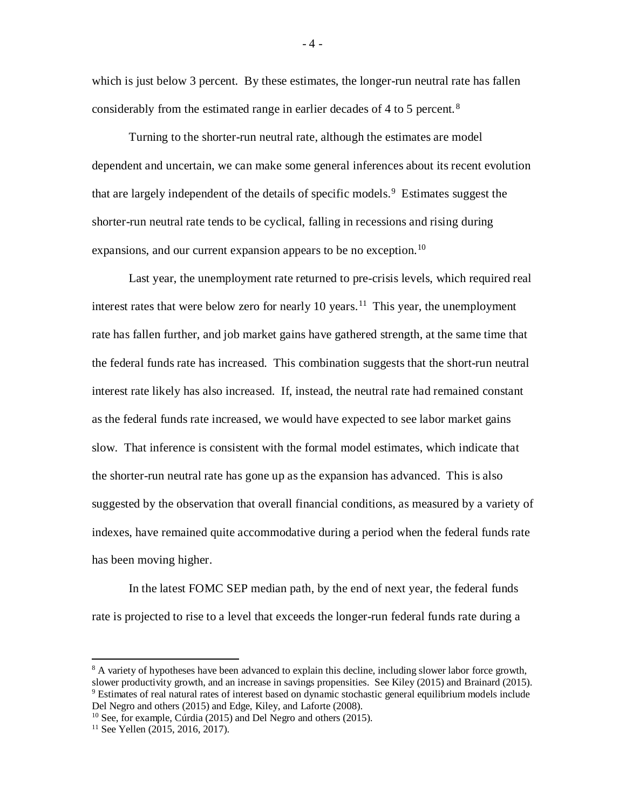which is just below 3 percent. By these estimates, the longer-run neutral rate has fallen considerably from the estimated range in earlier decades of 4 to 5 percent.<sup>[8](#page-4-0)</sup>

Turning to the shorter-run neutral rate, although the estimates are model dependent and uncertain, we can make some general inferences about its recent evolution that are largely independent of the details of specific models.<sup>[9](#page-4-1)</sup> Estimates suggest the shorter-run neutral rate tends to be cyclical, falling in recessions and rising during expansions, and our current expansion appears to be no exception.<sup>10</sup>

Last year, the unemployment rate returned to pre-crisis levels, which required real interest rates that were below zero for nearly 10 years.<sup>[11](#page-4-3)</sup> This year, the unemployment rate has fallen further, and job market gains have gathered strength, at the same time that the federal funds rate has increased. This combination suggests that the short-run neutral interest rate likely has also increased. If, instead, the neutral rate had remained constant as the federal funds rate increased, we would have expected to see labor market gains slow. That inference is consistent with the formal model estimates, which indicate that the shorter-run neutral rate has gone up as the expansion has advanced. This is also suggested by the observation that overall financial conditions, as measured by a variety of indexes, have remained quite accommodative during a period when the federal funds rate has been moving higher.

In the latest FOMC SEP median path, by the end of next year, the federal funds rate is projected to rise to a level that exceeds the longer-run federal funds rate during a

<span id="page-4-1"></span><span id="page-4-0"></span><sup>&</sup>lt;sup>8</sup> A variety of hypotheses have been advanced to explain this decline, including slower labor force growth, slower productivity growth, and an increase in savings propensities. See Kiley (2015) and Brainard (2015). <sup>9</sup> Estimates of real natural rates of interest based on dynamic stochastic general equilibrium models include Del Negro and others (2015) and Edge, Kiley, and Laforte (2008).

<span id="page-4-2"></span> $10$  See, for example, Cúrdia (2015) and Del Negro and others (2015).

<span id="page-4-3"></span><sup>&</sup>lt;sup>11</sup> See Yellen (2015, 2016, 2017).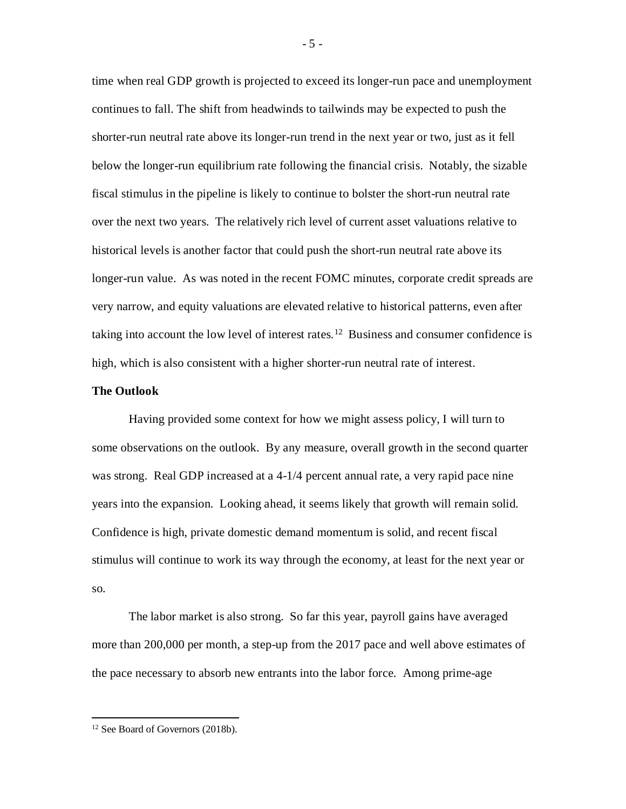time when real GDP growth is projected to exceed its longer-run pace and unemployment continues to fall. The shift from headwinds to tailwinds may be expected to push the shorter-run neutral rate above its longer-run trend in the next year or two, just as it fell below the longer-run equilibrium rate following the financial crisis. Notably, the sizable fiscal stimulus in the pipeline is likely to continue to bolster the short-run neutral rate over the next two years. The relatively rich level of current asset valuations relative to historical levels is another factor that could push the short-run neutral rate above its longer-run value. As was noted in the recent FOMC minutes, corporate credit spreads are very narrow, and equity valuations are elevated relative to historical patterns, even after taking into account the low level of interest rates.<sup>[12](#page-5-0)</sup> Business and consumer confidence is high, which is also consistent with a higher shorter-run neutral rate of interest.

## **The Outlook**

Having provided some context for how we might assess policy, I will turn to some observations on the outlook. By any measure, overall growth in the second quarter was strong. Real GDP increased at a 4-1/4 percent annual rate, a very rapid pace nine years into the expansion. Looking ahead, it seems likely that growth will remain solid. Confidence is high, private domestic demand momentum is solid, and recent fiscal stimulus will continue to work its way through the economy, at least for the next year or so.

The labor market is also strong. So far this year, payroll gains have averaged more than 200,000 per month, a step-up from the 2017 pace and well above estimates of the pace necessary to absorb new entrants into the labor force. Among prime-age

- 5 -

<span id="page-5-0"></span><sup>&</sup>lt;sup>12</sup> See Board of Governors (2018b).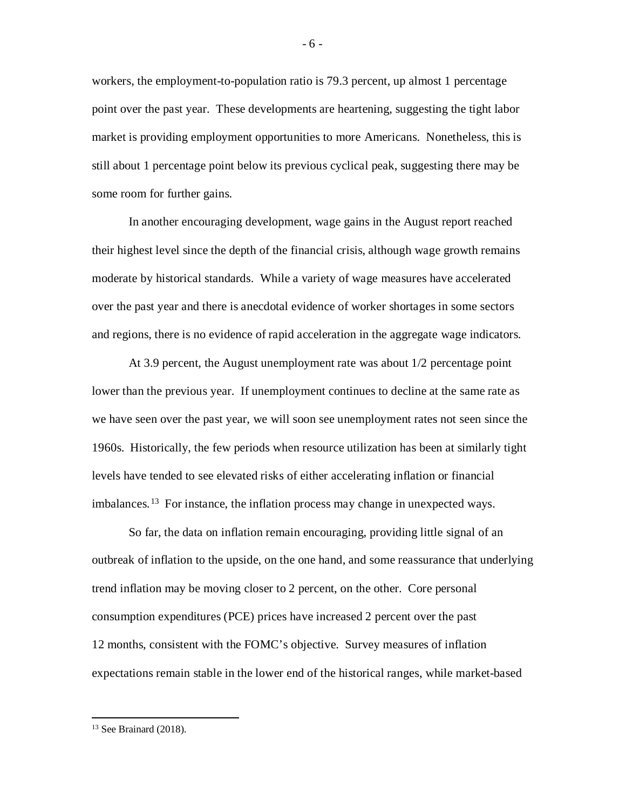workers, the employment-to-population ratio is 79.3 percent, up almost 1 percentage point over the past year. These developments are heartening, suggesting the tight labor market is providing employment opportunities to more Americans. Nonetheless, this is still about 1 percentage point below its previous cyclical peak, suggesting there may be some room for further gains.

In another encouraging development, wage gains in the August report reached their highest level since the depth of the financial crisis, although wage growth remains moderate by historical standards. While a variety of wage measures have accelerated over the past year and there is anecdotal evidence of worker shortages in some sectors and regions, there is no evidence of rapid acceleration in the aggregate wage indicators.

At 3.9 percent, the August unemployment rate was about 1/2 percentage point lower than the previous year. If unemployment continues to decline at the same rate as we have seen over the past year, we will soon see unemployment rates not seen since the 1960s. Historically, the few periods when resource utilization has been at similarly tight levels have tended to see elevated risks of either accelerating inflation or financial imbalances. [13](#page-6-0) For instance, the inflation process may change in unexpected ways.

So far, the data on inflation remain encouraging, providing little signal of an outbreak of inflation to the upside, on the one hand, and some reassurance that underlying trend inflation may be moving closer to 2 percent, on the other. Core personal consumption expenditures (PCE) prices have increased 2 percent over the past 12 months, consistent with the FOMC's objective. Survey measures of inflation expectations remain stable in the lower end of the historical ranges, while market-based

<span id="page-6-0"></span><sup>&</sup>lt;sup>13</sup> See Brainard (2018).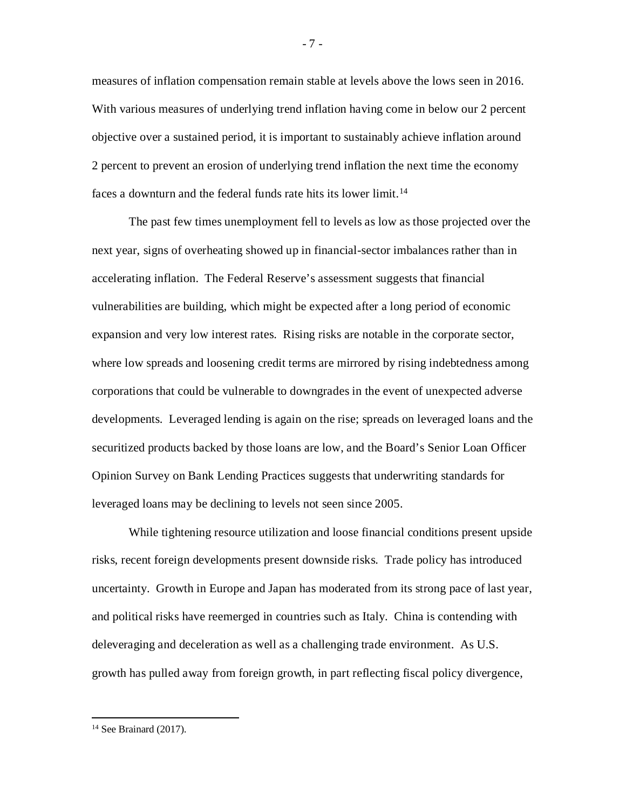measures of inflation compensation remain stable at levels above the lows seen in 2016. With various measures of underlying trend inflation having come in below our 2 percent objective over a sustained period, it is important to sustainably achieve inflation around 2 percent to prevent an erosion of underlying trend inflation the next time the economy faces a downturn and the federal funds rate hits its lower limit.<sup>[14](#page-7-0)</sup>

The past few times unemployment fell to levels as low as those projected over the next year, signs of overheating showed up in financial-sector imbalances rather than in accelerating inflation. The Federal Reserve's assessment suggests that financial vulnerabilities are building, which might be expected after a long period of economic expansion and very low interest rates. Rising risks are notable in the corporate sector, where low spreads and loosening credit terms are mirrored by rising indebtedness among corporations that could be vulnerable to downgrades in the event of unexpected adverse developments. Leveraged lending is again on the rise; spreads on leveraged loans and the securitized products backed by those loans are low, and the Board's Senior Loan Officer Opinion Survey on Bank Lending Practices suggests that underwriting standards for leveraged loans may be declining to levels not seen since 2005.

While tightening resource utilization and loose financial conditions present upside risks, recent foreign developments present downside risks. Trade policy has introduced uncertainty. Growth in Europe and Japan has moderated from its strong pace of last year, and political risks have reemerged in countries such as Italy. China is contending with deleveraging and deceleration as well as a challenging trade environment. As U.S. growth has pulled away from foreign growth, in part reflecting fiscal policy divergence,

- 7 -

<span id="page-7-0"></span><sup>&</sup>lt;sup>14</sup> See Brainard (2017).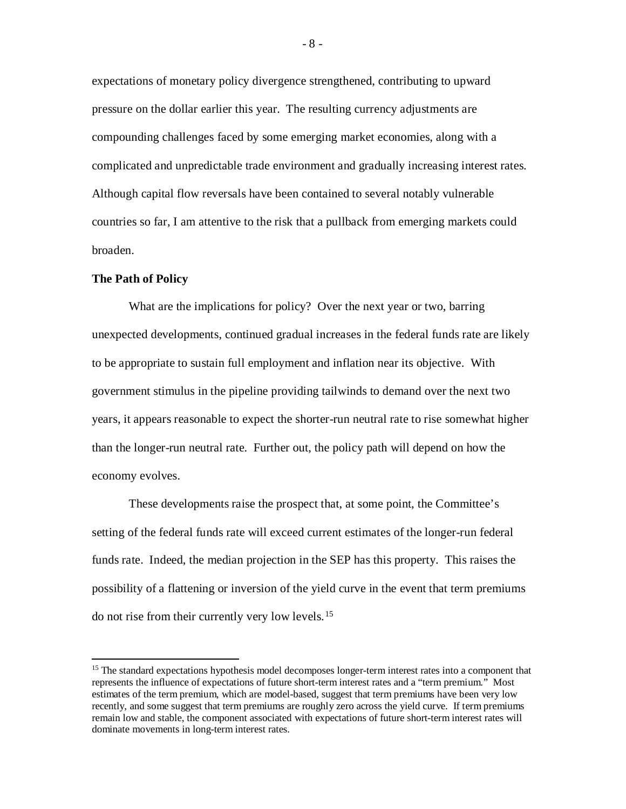expectations of monetary policy divergence strengthened, contributing to upward pressure on the dollar earlier this year. The resulting currency adjustments are compounding challenges faced by some emerging market economies, along with a complicated and unpredictable trade environment and gradually increasing interest rates. Although capital flow reversals have been contained to several notably vulnerable countries so far, I am attentive to the risk that a pullback from emerging markets could broaden.

#### **The Path of Policy**

What are the implications for policy? Over the next year or two, barring unexpected developments, continued gradual increases in the federal funds rate are likely to be appropriate to sustain full employment and inflation near its objective. With government stimulus in the pipeline providing tailwinds to demand over the next two years, it appears reasonable to expect the shorter-run neutral rate to rise somewhat higher than the longer-run neutral rate. Further out, the policy path will depend on how the economy evolves.

These developments raise the prospect that, at some point, the Committee's setting of the federal funds rate will exceed current estimates of the longer-run federal funds rate. Indeed, the median projection in the SEP has this property. This raises the possibility of a flattening or inversion of the yield curve in the event that term premiums do not rise from their currently very low levels. [15](#page-8-0)

<span id="page-8-0"></span><sup>&</sup>lt;sup>15</sup> The standard expectations hypothesis model decomposes longer-term interest rates into a component that represents the influence of expectations of future short-term interest rates and a "term premium." Most estimates of the term premium, which are model-based, suggest that term premiums have been very low recently, and some suggest that term premiums are roughly zero across the yield curve. If term premiums remain low and stable, the component associated with expectations of future short-term interest rates will dominate movements in long-term interest rates.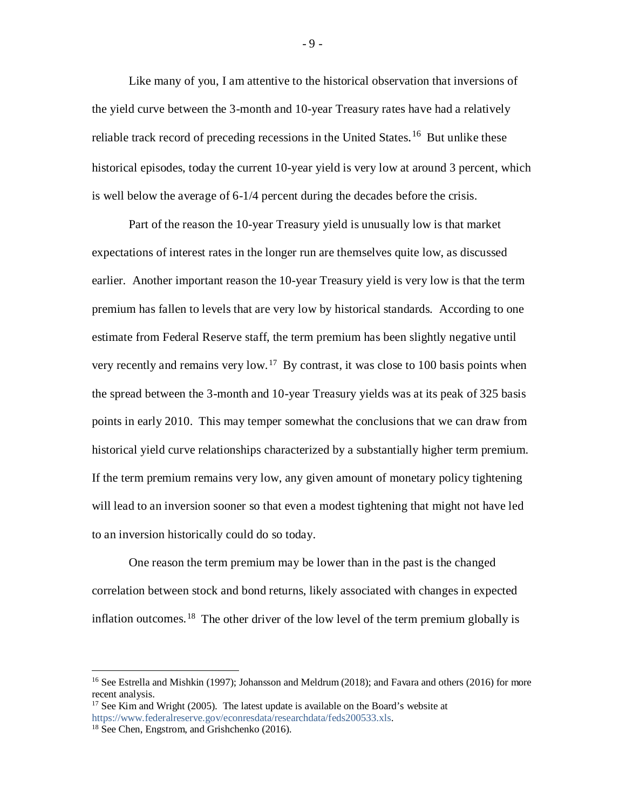Like many of you, I am attentive to the historical observation that inversions of the yield curve between the 3-month and 10-year Treasury rates have had a relatively reliable track record of preceding recessions in the United States.<sup>[16](#page-9-0)</sup> But unlike these historical episodes, today the current 10-year yield is very low at around 3 percent, which is well below the average of 6-1/4 percent during the decades before the crisis.

Part of the reason the 10-year Treasury yield is unusually low is that market expectations of interest rates in the longer run are themselves quite low, as discussed earlier. Another important reason the 10-year Treasury yield is very low is that the term premium has fallen to levels that are very low by historical standards. According to one estimate from Federal Reserve staff, the term premium has been slightly negative until very recently and remains very low.<sup>[17](#page-9-1)</sup> By contrast, it was close to 100 basis points when the spread between the 3-month and 10-year Treasury yields was at its peak of 325 basis points in early 2010. This may temper somewhat the conclusions that we can draw from historical yield curve relationships characterized by a substantially higher term premium. If the term premium remains very low, any given amount of monetary policy tightening will lead to an inversion sooner so that even a modest tightening that might not have led to an inversion historically could do so today.

One reason the term premium may be lower than in the past is the changed correlation between stock and bond returns, likely associated with changes in expected inflation outcomes. <sup>[18](#page-9-2)</sup> The other driver of the low level of the term premium globally is

- 9 -

<span id="page-9-0"></span><sup>&</sup>lt;sup>16</sup> See Estrella and Mishkin (1997); Johansson and Meldrum (2018); and Favara and others (2016) for more recent analysis.

<span id="page-9-1"></span> $17$  See Kim and Wright (2005). The latest update is available on the Board's website at [https://www.federalreserve.gov/econresdata/researchdata/feds200533.xls.](https://www.federalreserve.gov/econresdata/researchdata/feds200533.xls)

<span id="page-9-2"></span><sup>18</sup> See Chen, Engstrom, and Grishchenko (2016).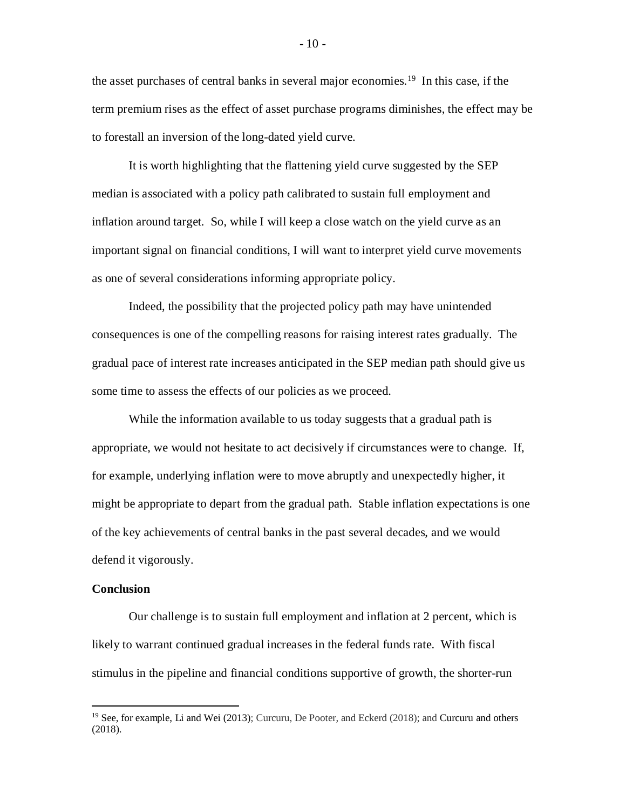the asset purchases of central banks in several major economies. [19](#page-10-0) In this case, if the term premium rises as the effect of asset purchase programs diminishes, the effect may be to forestall an inversion of the long-dated yield curve.

It is worth highlighting that the flattening yield curve suggested by the SEP median is associated with a policy path calibrated to sustain full employment and inflation around target. So, while I will keep a close watch on the yield curve as an important signal on financial conditions, I will want to interpret yield curve movements as one of several considerations informing appropriate policy.

Indeed, the possibility that the projected policy path may have unintended consequences is one of the compelling reasons for raising interest rates gradually. The gradual pace of interest rate increases anticipated in the SEP median path should give us some time to assess the effects of our policies as we proceed.

While the information available to us today suggests that a gradual path is appropriate, we would not hesitate to act decisively if circumstances were to change. If, for example, underlying inflation were to move abruptly and unexpectedly higher, it might be appropriate to depart from the gradual path. Stable inflation expectations is one of the key achievements of central banks in the past several decades, and we would defend it vigorously.

#### **Conclusion**

Our challenge is to sustain full employment and inflation at 2 percent, which is likely to warrant continued gradual increases in the federal funds rate. With fiscal stimulus in the pipeline and financial conditions supportive of growth, the shorter-run

<span id="page-10-0"></span> $19$  See, for example, Li and Wei (2013); Curcuru, De Pooter, and Eckerd (2018); and Curcuru and others (2018).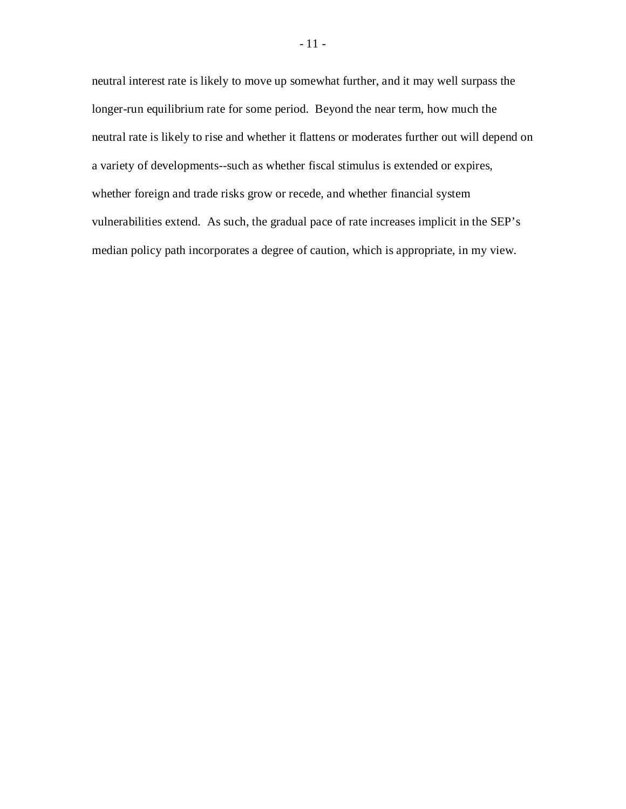neutral interest rate is likely to move up somewhat further, and it may well surpass the longer-run equilibrium rate for some period. Beyond the near term, how much the neutral rate is likely to rise and whether it flattens or moderates further out will depend on a variety of developments--such as whether fiscal stimulus is extended or expires, whether foreign and trade risks grow or recede, and whether financial system vulnerabilities extend. As such, the gradual pace of rate increases implicit in the SEP's median policy path incorporates a degree of caution, which is appropriate, in my view.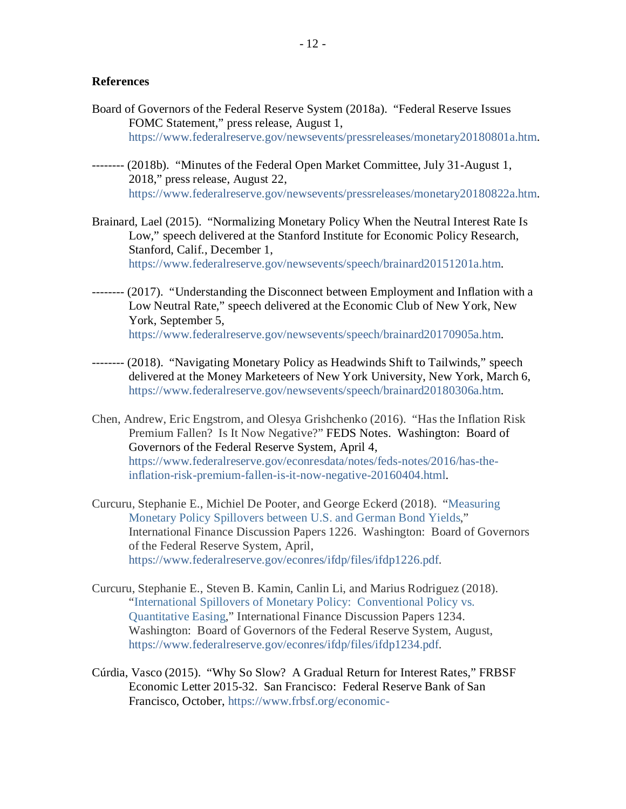# **References**

- Board of Governors of the Federal Reserve System (2018a). "Federal Reserve Issues FOMC Statement," press release, August 1, [https://www.federalreserve.gov/newsevents/pressreleases/monetary20180801a.htm.](https://www.federalreserve.gov/newsevents/pressreleases/monetary20180801a.htm)
- -------- (2018b). "Minutes of the Federal Open Market Committee, July 31-August 1, 2018," press release, August 22, [https://www.federalreserve.gov/newsevents/pressreleases/monetary20180822a.htm.](https://www.federalreserve.gov/newsevents/pressreleases/monetary20180822a.htm)
- Brainard, Lael (2015). "Normalizing Monetary Policy When the Neutral Interest Rate Is Low," speech delivered at the Stanford Institute for Economic Policy Research, Stanford, Calif., December 1, [https://www.federalreserve.gov/newsevents/speech/brainard20151201a.htm.](https://www.federalreserve.gov/newsevents/speech/brainard20151201a.htm)
- -------- (2017). "Understanding the Disconnect between Employment and Inflation with a Low Neutral Rate," speech delivered at the Economic Club of New York, New York, September 5, [https://www.federalreserve.gov/newsevents/speech/brainard20170905a.htm.](https://www.federalreserve.gov/newsevents/speech/brainard20170905a.htm)
- -------- (2018). "Navigating Monetary Policy as Headwinds Shift to Tailwinds," speech delivered at the Money Marketeers of New York University, New York, March 6, https://www.federalreserve.gov/newsevents/speech/brainard20180306a.htm.
- Chen, Andrew, Eric Engstrom, and Olesya Grishchenko (2016). "Has the Inflation Risk Premium Fallen? Is It Now Negative?" FEDS Notes. Washington: Board of Governors of the Federal Reserve System, April 4, [https://www.federalreserve.gov/econresdata/notes/feds-notes/2016/has-the](https://www.federalreserve.gov/econresdata/notes/feds-notes/2016/has-the-inflation-risk-premium-fallen-is-it-now-negative-20160404.html)[inflation-risk-premium-fallen-is-it-now-negative-20160404.html.](https://www.federalreserve.gov/econresdata/notes/feds-notes/2016/has-the-inflation-risk-premium-fallen-is-it-now-negative-20160404.html)
- Curcuru, Stephanie E., Michiel De Pooter, and George Eckerd (2018). "Measuring Monetary Policy Spillovers between U.S. and German Bond Yields," International Finance Discussion Papers 1226. Washington: Board of Governors of the Federal Reserve System, April, [https://www.federalreserve.gov/econres/ifdp/files/ifdp1226.pdf.](https://www.federalreserve.gov/econres/ifdp/files/ifdp1226.pdf)
- Curcuru, Stephanie E., Steven B. Kamin, Canlin Li, and Marius Rodriguez (2018). "International Spillovers of Monetary Policy: Conventional Policy vs. Quantitative Easing," International Finance Discussion Papers 1234. Washington: Board of Governors of the Federal Reserve System, August, [https://www.federalreserve.gov/econres/ifdp/files/ifdp1234.pdf.](https://www.federalreserve.gov/econres/ifdp/files/ifdp1234.pdf)
- Cúrdia, Vasco (2015). "Why So Slow? A Gradual Return for Interest Rates," FRBSF Economic Letter 2015-32. San Francisco: Federal Reserve Bank of San Francisco, October, [https://www.frbsf.org/economic-](https://www.frbsf.org/economic-research/publications/economic-letter/2015/october/gradual-return-to-normal-natural-rate-of-interest/)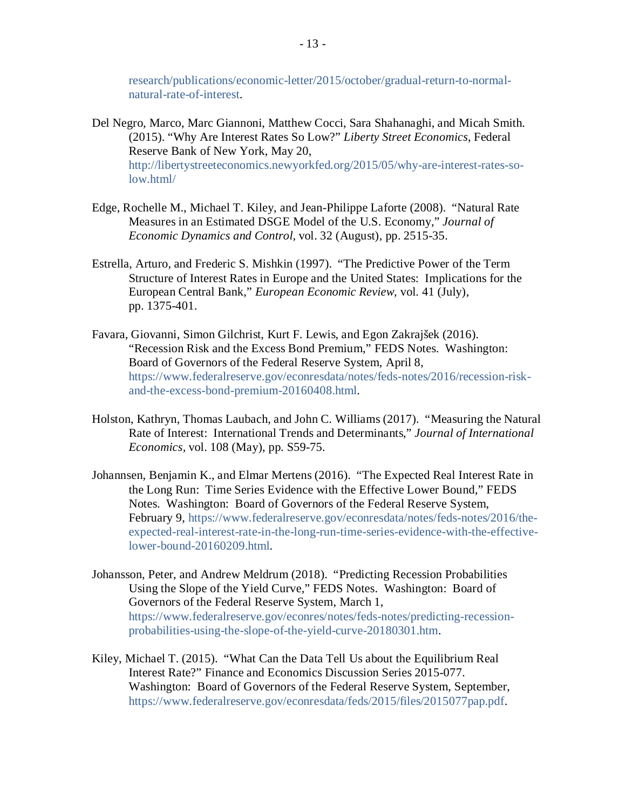[research/publications/economic-letter/2015/october/gradual-return-to-normal](https://www.frbsf.org/economic-research/publications/economic-letter/2015/october/gradual-return-to-normal-natural-rate-of-interest/)[natural-rate-of-interest.](https://www.frbsf.org/economic-research/publications/economic-letter/2015/october/gradual-return-to-normal-natural-rate-of-interest/)

- Del Negro, Marco, Marc Giannoni, Matthew Cocci, Sara Shahanaghi, and Micah Smith. (2015). "Why Are Interest Rates So Low?" *Liberty Street Economics*, Federal Reserve Bank of New York, May 20, [http://libertystreeteconomics.newyorkfed.org/2015/05/why-are-interest-rates-so](http://libertystreeteconomics.newyorkfed.org/2015/05/why-are-interest-rates-so-low.html)[low.html/](http://libertystreeteconomics.newyorkfed.org/2015/05/why-are-interest-rates-so-low.html)
- Edge, Rochelle M., Michael T. Kiley, and Jean-Philippe Laforte (2008). "Natural Rate Measures in an Estimated DSGE Model of the U.S. Economy," *Journal of Economic Dynamics and Control,* vol. 32 (August), pp. 2515-35.
- Estrella, Arturo, and Frederic S. Mishkin (1997). "The Predictive Power of the Term Structure of Interest Rates in Europe and the United States: Implications for the European Central Bank," *European Economic Review,* vol. 41 (July), pp. 1375-401.
- Favara, Giovanni, Simon Gilchrist, Kurt F. Lewis, and Egon Zakrajšek (2016). "Recession Risk and the Excess Bond Premium," FEDS Notes. Washington: Board of Governors of the Federal Reserve System, April 8, [https://www.federalreserve.gov/econresdata/notes/feds-notes/2016/recession-risk](https://www.federalreserve.gov/econresdata/notes/feds-notes/2016/recession-risk-and-the-excess-bond-premium-20160408.html)[and-the-excess-bond-premium-20160408.html.](https://www.federalreserve.gov/econresdata/notes/feds-notes/2016/recession-risk-and-the-excess-bond-premium-20160408.html)
- Holston, Kathryn, Thomas Laubach, and John C. Williams (2017). "Measuring the Natural Rate of Interest: International Trends and Determinants," *Journal of International Economics,* vol. 108 (May), pp. S59-75.
- Johannsen, Benjamin K., and Elmar Mertens (2016). "The Expected Real Interest Rate in the Long Run: Time Series Evidence with the Effective Lower Bound," FEDS Notes. Washington: Board of Governors of the Federal Reserve System, February 9, [https://www.federalreserve.gov/econresdata/notes/feds-notes/2016/the](https://www.federalreserve.gov/econresdata/notes/feds-notes/2016/the-expected-real-interest-rate-in-the-long-run-time-series-evidence-with-the-effective-lower-bound-20160209.html)[expected-real-interest-rate-in-the-long-run-time-series-evidence-with-the-effective](https://www.federalreserve.gov/econresdata/notes/feds-notes/2016/the-expected-real-interest-rate-in-the-long-run-time-series-evidence-with-the-effective-lower-bound-20160209.html)[lower-bound-20160209.html.](https://www.federalreserve.gov/econresdata/notes/feds-notes/2016/the-expected-real-interest-rate-in-the-long-run-time-series-evidence-with-the-effective-lower-bound-20160209.html)
- Johansson, Peter, and Andrew Meldrum (2018). "Predicting Recession Probabilities Using the Slope of the Yield Curve," FEDS Notes. Washington: Board of Governors of the Federal Reserve System, March 1, [https://www.federalreserve.gov/econres/notes/feds-notes/predicting-recession](https://www.federalreserve.gov/econres/notes/feds-notes/predicting-recession-probabilities-using-the-slope-of-the-yield-curve-20180301.htm)[probabilities-using-the-slope-of-the-yield-curve-20180301.htm.](https://www.federalreserve.gov/econres/notes/feds-notes/predicting-recession-probabilities-using-the-slope-of-the-yield-curve-20180301.htm)
- Kiley, Michael T. (2015). "What Can the Data Tell Us about the Equilibrium Real Interest Rate?" Finance and Economics Discussion Series 2015-077. Washington: Board of Governors of the Federal Reserve System, September, [https://www.federalreserve.gov/econresdata/feds/2015/files/2015077pap.pdf.](https://www.federalreserve.gov/econresdata/feds/2015/files/2015077pap.pdf)